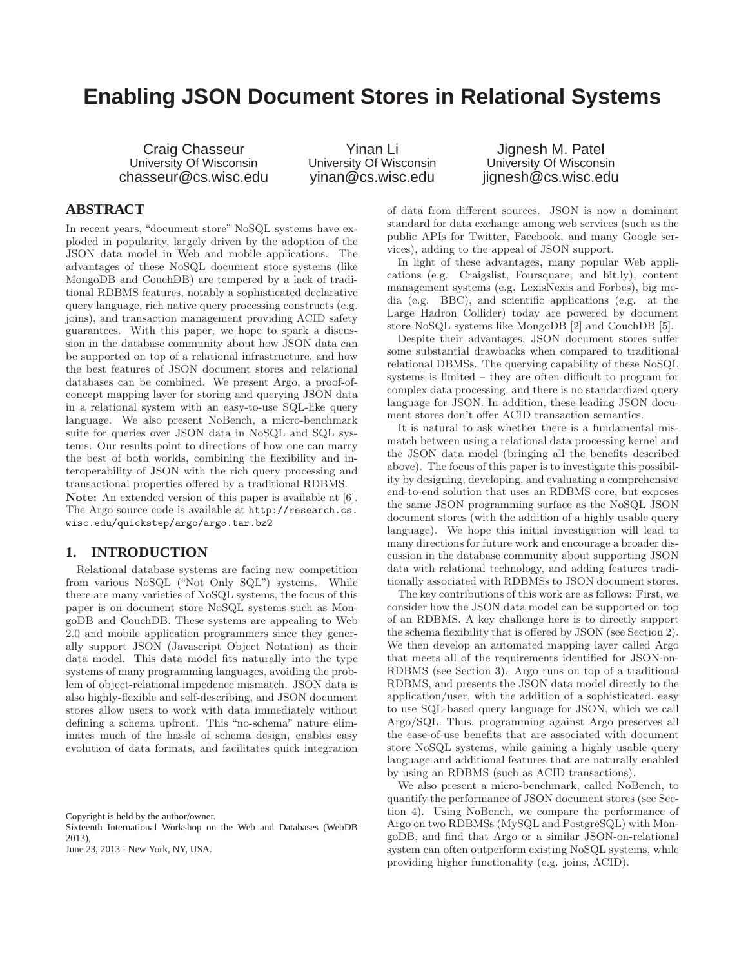# **Enabling JSON Document Stores in Relational Systems**

Craig Chasseur University Of Wisconsin chasseur@cs.wisc.edu

Yinan Li University Of Wisconsin yinan@cs.wisc.edu

Jignesh M. Patel University Of Wisconsin jignesh@cs.wisc.edu

# **ABSTRACT**

In recent years, "document store" NoSQL systems have exploded in popularity, largely driven by the adoption of the JSON data model in Web and mobile applications. The advantages of these NoSQL document store systems (like MongoDB and CouchDB) are tempered by a lack of traditional RDBMS features, notably a sophisticated declarative query language, rich native query processing constructs (e.g. joins), and transaction management providing ACID safety guarantees. With this paper, we hope to spark a discussion in the database community about how JSON data can be supported on top of a relational infrastructure, and how the best features of JSON document stores and relational databases can be combined. We present Argo, a proof-ofconcept mapping layer for storing and querying JSON data in a relational system with an easy-to-use SQL-like query language. We also present NoBench, a micro-benchmark suite for queries over JSON data in NoSQL and SQL systems. Our results point to directions of how one can marry the best of both worlds, combining the flexibility and interoperability of JSON with the rich query processing and transactional properties offered by a traditional RDBMS. Note: An extended version of this paper is available at [6]. The Argo source code is available at http://research.cs. wisc.edu/quickstep/argo/argo.tar.bz2

# **1. INTRODUCTION**

Relational database systems are facing new competition from various NoSQL ("Not Only SQL") systems. While there are many varieties of NoSQL systems, the focus of this paper is on document store NoSQL systems such as MongoDB and CouchDB. These systems are appealing to Web 2.0 and mobile application programmers since they generally support JSON (Javascript Object Notation) as their data model. This data model fits naturally into the type systems of many programming languages, avoiding the problem of object-relational impedence mismatch. JSON data is also highly-flexible and self-describing, and JSON document stores allow users to work with data immediately without defining a schema upfront. This "no-schema" nature eliminates much of the hassle of schema design, enables easy evolution of data formats, and facilitates quick integration

Convright is held by the author/owner.

Sixteenth International Workshop on the Web and Databases (WebDB 2013),

June 23, 2013 - New York, NY, USA.

of data from different sources. JSON is now a dominant standard for data exchange among web services (such as the public APIs for Twitter, Facebook, and many Google services), adding to the appeal of JSON support.

In light of these advantages, many popular Web applications (e.g. Craigslist, Foursquare, and bit.ly), content management systems (e.g. LexisNexis and Forbes), big media (e.g. BBC), and scientific applications (e.g. at the Large Hadron Collider) today are powered by document store NoSQL systems like MongoDB [2] and CouchDB [5].

Despite their advantages, JSON document stores suffer some substantial drawbacks when compared to traditional relational DBMSs. The querying capability of these NoSQL systems is limited – they are often difficult to program for complex data processing, and there is no standardized query language for JSON. In addition, these leading JSON document stores don't offer ACID transaction semantics.

It is natural to ask whether there is a fundamental mismatch between using a relational data processing kernel and the JSON data model (bringing all the benefits described above). The focus of this paper is to investigate this possibility by designing, developing, and evaluating a comprehensive end-to-end solution that uses an RDBMS core, but exposes the same JSON programming surface as the NoSQL JSON document stores (with the addition of a highly usable query language). We hope this initial investigation will lead to many directions for future work and encourage a broader discussion in the database community about supporting JSON data with relational technology, and adding features traditionally associated with RDBMSs to JSON document stores.

The key contributions of this work are as follows: First, we consider how the JSON data model can be supported on top of an RDBMS. A key challenge here is to directly support the schema flexibility that is offered by JSON (see Section 2). We then develop an automated mapping layer called Argo that meets all of the requirements identified for JSON-on-RDBMS (see Section 3). Argo runs on top of a traditional RDBMS, and presents the JSON data model directly to the application/user, with the addition of a sophisticated, easy to use SQL-based query language for JSON, which we call Argo/SQL. Thus, programming against Argo preserves all the ease-of-use benefits that are associated with document store NoSQL systems, while gaining a highly usable query language and additional features that are naturally enabled by using an RDBMS (such as ACID transactions).

We also present a micro-benchmark, called NoBench, to quantify the performance of JSON document stores (see Section 4). Using NoBench, we compare the performance of Argo on two RDBMSs (MySQL and PostgreSQL) with MongoDB, and find that Argo or a similar JSON-on-relational system can often outperform existing NoSQL systems, while providing higher functionality (e.g. joins, ACID).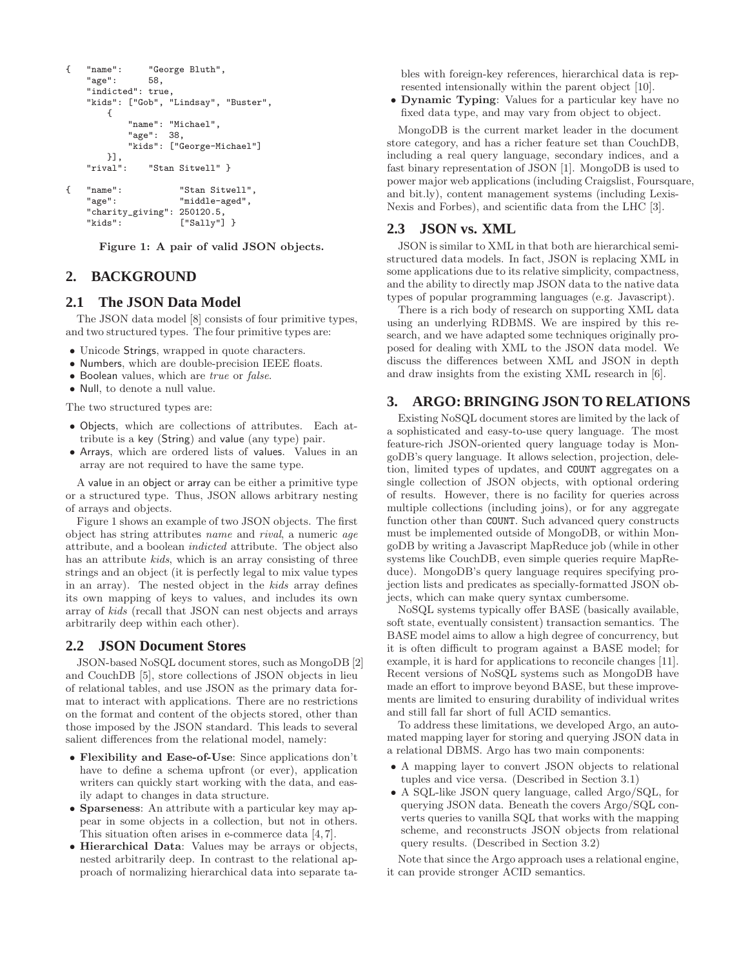```
{ "name": "George Bluth",
   "age": 58,
   "indicted": true,
   "kids": ["Gob", "Lindsay", "Buster",
       {
           "name": "Michael",
           "age": 38,
            "kids": ["George-Michael"]
    , [{<br>!"rival"
               "Stan Sitwell" }
{ "name": "Stan Sitwell",
    "age": "middle-aged",
   "charity_giving": 250120.5,
                     ['Sally"] }
```
Figure 1: A pair of valid JSON objects.

# **2. BACKGROUND**

## **2.1 The JSON Data Model**

The JSON data model [8] consists of four primitive types, and two structured types. The four primitive types are:

- Unicode Strings, wrapped in quote characters.
- Numbers, which are double-precision IEEE floats.
- Boolean values, which are true or false.
- Null, to denote a null value.

The two structured types are:

- Objects, which are collections of attributes. Each attribute is a key (String) and value (any type) pair.
- Arrays, which are ordered lists of values. Values in an array are not required to have the same type.

A value in an object or array can be either a primitive type or a structured type. Thus, JSON allows arbitrary nesting of arrays and objects.

Figure 1 shows an example of two JSON objects. The first object has string attributes name and rival, a numeric age attribute, and a boolean indicted attribute. The object also has an attribute *kids*, which is an array consisting of three strings and an object (it is perfectly legal to mix value types in an array). The nested object in the kids array defines its own mapping of keys to values, and includes its own array of kids (recall that JSON can nest objects and arrays arbitrarily deep within each other).

#### **2.2 JSON Document Stores**

JSON-based NoSQL document stores, such as MongoDB [2] and CouchDB [5], store collections of JSON objects in lieu of relational tables, and use JSON as the primary data format to interact with applications. There are no restrictions on the format and content of the objects stored, other than those imposed by the JSON standard. This leads to several salient differences from the relational model, namely:

- Flexibility and Ease-of-Use: Since applications don't have to define a schema upfront (or ever), application writers can quickly start working with the data, and easily adapt to changes in data structure.
- Sparseness: An attribute with a particular key may appear in some objects in a collection, but not in others. This situation often arises in e-commerce data [4, 7].
- Hierarchical Data: Values may be arrays or objects, nested arbitrarily deep. In contrast to the relational approach of normalizing hierarchical data into separate ta-

bles with foreign-key references, hierarchical data is represented intensionally within the parent object [10].

• Dynamic Typing: Values for a particular key have no fixed data type, and may vary from object to object.

MongoDB is the current market leader in the document store category, and has a richer feature set than CouchDB, including a real query language, secondary indices, and a fast binary representation of JSON [1]. MongoDB is used to power major web applications (including Craigslist, Foursquare, and bit.ly), content management systems (including Lexis-Nexis and Forbes), and scientific data from the LHC [3].

# **2.3 JSON vs. XML**

JSON is similar to XML in that both are hierarchical semistructured data models. In fact, JSON is replacing XML in some applications due to its relative simplicity, compactness, and the ability to directly map JSON data to the native data types of popular programming languages (e.g. Javascript).

There is a rich body of research on supporting XML data using an underlying RDBMS. We are inspired by this research, and we have adapted some techniques originally proposed for dealing with XML to the JSON data model. We discuss the differences between XML and JSON in depth and draw insights from the existing XML research in [6].

# **3. ARGO: BRINGING JSON TO RELATIONS**

Existing NoSQL document stores are limited by the lack of a sophisticated and easy-to-use query language. The most feature-rich JSON-oriented query language today is MongoDB's query language. It allows selection, projection, deletion, limited types of updates, and COUNT aggregates on a single collection of JSON objects, with optional ordering of results. However, there is no facility for queries across multiple collections (including joins), or for any aggregate function other than COUNT. Such advanced query constructs must be implemented outside of MongoDB, or within MongoDB by writing a Javascript MapReduce job (while in other systems like CouchDB, even simple queries require MapReduce). MongoDB's query language requires specifying projection lists and predicates as specially-formatted JSON objects, which can make query syntax cumbersome.

NoSQL systems typically offer BASE (basically available, soft state, eventually consistent) transaction semantics. The BASE model aims to allow a high degree of concurrency, but it is often difficult to program against a BASE model; for example, it is hard for applications to reconcile changes [11]. Recent versions of NoSQL systems such as MongoDB have made an effort to improve beyond BASE, but these improvements are limited to ensuring durability of individual writes and still fall far short of full ACID semantics.

To address these limitations, we developed Argo, an automated mapping layer for storing and querying JSON data in a relational DBMS. Argo has two main components:

- A mapping layer to convert JSON objects to relational tuples and vice versa. (Described in Section 3.1)
- A SQL-like JSON query language, called Argo/SQL, for querying JSON data. Beneath the covers Argo/SQL converts queries to vanilla SQL that works with the mapping scheme, and reconstructs JSON objects from relational query results. (Described in Section 3.2)

Note that since the Argo approach uses a relational engine, it can provide stronger ACID semantics.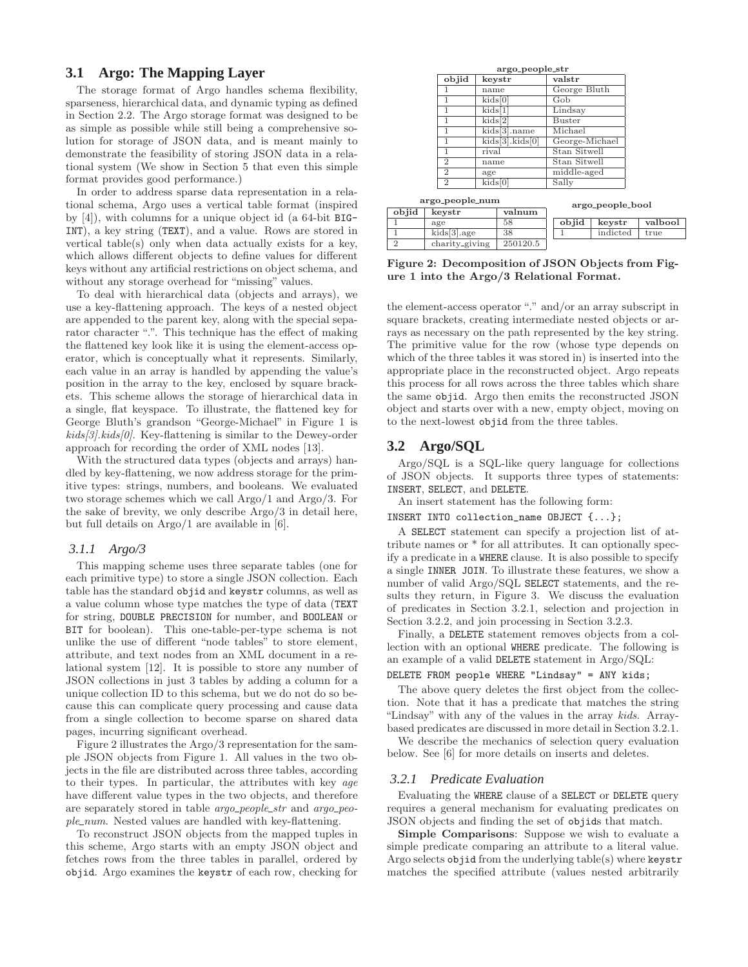# **3.1 Argo: The Mapping Layer**

The storage format of Argo handles schema flexibility, sparseness, hierarchical data, and dynamic typing as defined in Section 2.2. The Argo storage format was designed to be as simple as possible while still being a comprehensive solution for storage of JSON data, and is meant mainly to demonstrate the feasibility of storing JSON data in a relational system (We show in Section 5 that even this simple format provides good performance.)

In order to address sparse data representation in a relational schema, Argo uses a vertical table format (inspired by [4]), with columns for a unique object id (a 64-bit BIG-INT), a key string (TEXT), and a value. Rows are stored in vertical table(s) only when data actually exists for a key, which allows different objects to define values for different keys without any artificial restrictions on object schema, and without any storage overhead for "missing" values.

To deal with hierarchical data (objects and arrays), we use a key-flattening approach. The keys of a nested object are appended to the parent key, along with the special separator character ".". This technique has the effect of making the flattened key look like it is using the element-access operator, which is conceptually what it represents. Similarly, each value in an array is handled by appending the value's position in the array to the key, enclosed by square brackets. This scheme allows the storage of hierarchical data in a single, flat keyspace. To illustrate, the flattened key for George Bluth's grandson "George-Michael" in Figure 1 is  $kids[3].kids[0].$  Key-flattening is similar to the Dewey-order approach for recording the order of XML nodes [13].

With the structured data types (objects and arrays) handled by key-flattening, we now address storage for the primitive types: strings, numbers, and booleans. We evaluated two storage schemes which we call Argo/1 and Argo/3. For the sake of brevity, we only describe Argo/3 in detail here, but full details on Argo/1 are available in [6].

#### *3.1.1 Argo/3*

This mapping scheme uses three separate tables (one for each primitive type) to store a single JSON collection. Each table has the standard objid and keystr columns, as well as a value column whose type matches the type of data (TEXT for string, DOUBLE PRECISION for number, and BOOLEAN or BIT for boolean). This one-table-per-type schema is not unlike the use of different "node tables" to store element, attribute, and text nodes from an XML document in a relational system [12]. It is possible to store any number of JSON collections in just 3 tables by adding a column for a unique collection ID to this schema, but we do not do so because this can complicate query processing and cause data from a single collection to become sparse on shared data pages, incurring significant overhead.

Figure 2 illustrates the Argo/3 representation for the sample JSON objects from Figure 1. All values in the two objects in the file are distributed across three tables, according to their types. In particular, the attributes with key age have different value types in the two objects, and therefore are separately stored in table *argo\_people\_str* and *argo\_peo* $ple\_num$ . Nested values are handled with key-flattening.

To reconstruct JSON objects from the mapped tuples in this scheme, Argo starts with an empty JSON object and fetches rows from the three tables in parallel, ordered by objid. Argo examines the keystr of each row, checking for

| objid          | keystr          | valstr           |  |  |  |
|----------------|-----------------|------------------|--|--|--|
|                | name            | George Bluth     |  |  |  |
|                | kids[0]         | Gob              |  |  |  |
| 1              | kids[1]         | Lindsay          |  |  |  |
| 1              | kids[2]         | <b>Buster</b>    |  |  |  |
| 1              | kids[3].name    | Michael          |  |  |  |
| 1              | kids[3].kids[0] | George-Michael   |  |  |  |
| 1              | rival           | Stan Sitwell     |  |  |  |
| $\overline{2}$ | name            | Stan Sitwell     |  |  |  |
| $\overline{2}$ | age             | middle-aged      |  |  |  |
| $\overline{2}$ | kids[0]         | Sally            |  |  |  |
| go_people_num  |                 | argo_people_bool |  |  |  |
| $l$ corrat n   | $\ddotsc$       |                  |  |  |  |

|        |                       |          |       | $m_{\text{N}}$ <sub>2</sub> -pcopic-pool |         |  |
|--------|-----------------------|----------|-------|------------------------------------------|---------|--|
| objid  | keystr                | valnum   |       |                                          |         |  |
|        | age                   | 58       | objid | kevstr                                   | valbool |  |
|        | $kids[3] \text{.age}$ | 38       |       | indicted                                 | true    |  |
| o<br>∠ | charity_giving        | 250120.5 |       |                                          |         |  |

Figure 2: Decomposition of JSON Objects from Figure 1 into the Argo/3 Relational Format.

the element-access operator "." and/or an array subscript in square brackets, creating intermediate nested objects or arrays as necessary on the path represented by the key string. The primitive value for the row (whose type depends on which of the three tables it was stored in) is inserted into the appropriate place in the reconstructed object. Argo repeats this process for all rows across the three tables which share the same objid. Argo then emits the reconstructed JSON object and starts over with a new, empty object, moving on to the next-lowest objid from the three tables.

## **3.2 Argo/SQL**

ar

Argo/SQL is a SQL-like query language for collections of JSON objects. It supports three types of statements: INSERT, SELECT, and DELETE.

An insert statement has the following form:

INSERT INTO collection\_name OBJECT {...};

A SELECT statement can specify a projection list of attribute names or \* for all attributes. It can optionally specify a predicate in a WHERE clause. It is also possible to specify a single INNER JOIN. To illustrate these features, we show a number of valid Argo/SQL SELECT statements, and the results they return, in Figure 3. We discuss the evaluation of predicates in Section 3.2.1, selection and projection in Section 3.2.2, and join processing in Section 3.2.3.

Finally, a DELETE statement removes objects from a collection with an optional WHERE predicate. The following is an example of a valid DELETE statement in Argo/SQL:

#### DELETE FROM people WHERE "Lindsay" = ANY kids;

The above query deletes the first object from the collection. Note that it has a predicate that matches the string "Lindsay" with any of the values in the array kids. Arraybased predicates are discussed in more detail in Section 3.2.1.

We describe the mechanics of selection query evaluation below. See [6] for more details on inserts and deletes.

#### *3.2.1 Predicate Evaluation*

Evaluating the WHERE clause of a SELECT or DELETE query requires a general mechanism for evaluating predicates on JSON objects and finding the set of objids that match.

Simple Comparisons: Suppose we wish to evaluate a simple predicate comparing an attribute to a literal value. Argo selects objid from the underlying table(s) where keystr matches the specified attribute (values nested arbitrarily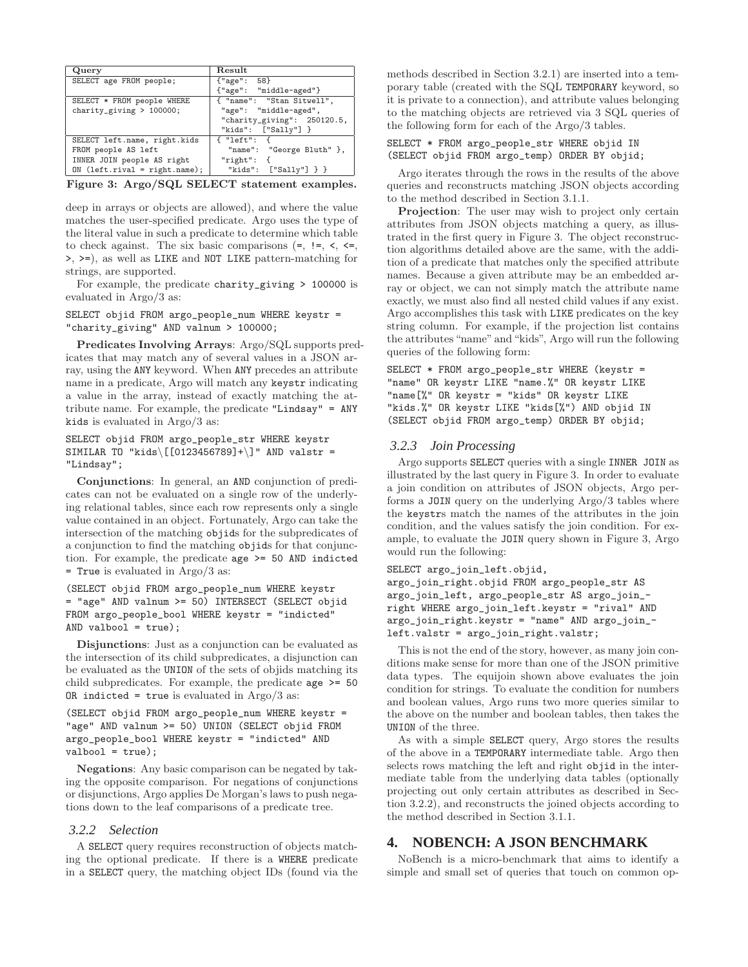| Query                           | Result                         |
|---------------------------------|--------------------------------|
| SELECT age FROM people;         | ${^\text{u}$ gge": 58}         |
|                                 | {"age": "middle-aged"}         |
| SELECT * FROM people WHERE      | { "name": "Stan Sitwell",      |
| charity_giving $> 100000$ ;     | "age": "middle-aged",          |
|                                 | "charity_giving": $250120.5$ , |
|                                 | "kids": ["Sally"] }            |
| SELECT left.name, right.kids    | { "left": {                    |
| FROM people AS left             | "name": "George Bluth" },      |
| INNER JOIN people AS right      | "right": $\{$                  |
| $ON$ (left.rival = right.name); | "kids": $['Sally"]$ } }        |

Figure 3: Argo/SQL SELECT statement examples.

deep in arrays or objects are allowed), and where the value matches the user-specified predicate. Argo uses the type of the literal value in such a predicate to determine which table to check against. The six basic comparisons  $(=, !=, <, <=)$ >, >=), as well as LIKE and NOT LIKE pattern-matching for strings, are supported.

For example, the predicate charity\_giving > 100000 is evaluated in Argo/3 as:

SELECT objid FROM argo\_people\_num WHERE keystr = "charity\_giving" AND valnum > 100000;

Predicates Involving Arrays: Argo/SQL supports predicates that may match any of several values in a JSON array, using the ANY keyword. When ANY precedes an attribute name in a predicate, Argo will match any keystr indicating a value in the array, instead of exactly matching the attribute name. For example, the predicate "Lindsay" = ANY kids is evaluated in Argo/3 as:

SELECT objid FROM argo\_people\_str WHERE keystr SIMILAR TO "kids\[[0123456789]+\]" AND valstr = "Lindsay";

Conjunctions: In general, an AND conjunction of predicates can not be evaluated on a single row of the underlying relational tables, since each row represents only a single value contained in an object. Fortunately, Argo can take the intersection of the matching objids for the subpredicates of a conjunction to find the matching objids for that conjunction. For example, the predicate age >= 50 AND indicted = True is evaluated in Argo/3 as:

(SELECT objid FROM argo\_people\_num WHERE keystr = "age" AND valnum >= 50) INTERSECT (SELECT objid FROM argo\_people\_bool WHERE keystr = "indicted" AND valbool = true);

Disjunctions: Just as a conjunction can be evaluated as the intersection of its child subpredicates, a disjunction can be evaluated as the UNION of the sets of objids matching its child subpredicates. For example, the predicate age >= 50 OR indicted = true is evaluated in  $Argo/3$  as:

```
(SELECT objid FROM argo_people_num WHERE keystr =
"age" AND valnum >= 50) UNION (SELECT objid FROM
argo_people_bool WHERE keystr = "indicted" AND
value = true;
```
Negations: Any basic comparison can be negated by taking the opposite comparison. For negations of conjunctions or disjunctions, Argo applies De Morgan's laws to push negations down to the leaf comparisons of a predicate tree.

### *3.2.2 Selection*

A SELECT query requires reconstruction of objects matching the optional predicate. If there is a WHERE predicate in a SELECT query, the matching object IDs (found via the methods described in Section 3.2.1) are inserted into a temporary table (created with the SQL TEMPORARY keyword, so it is private to a connection), and attribute values belonging to the matching objects are retrieved via 3 SQL queries of the following form for each of the Argo/3 tables.

#### SELECT \* FROM argo\_people\_str WHERE objid IN (SELECT objid FROM argo\_temp) ORDER BY objid;

Argo iterates through the rows in the results of the above queries and reconstructs matching JSON objects according to the method described in Section 3.1.1.

Projection: The user may wish to project only certain attributes from JSON objects matching a query, as illustrated in the first query in Figure 3. The object reconstruction algorithms detailed above are the same, with the addition of a predicate that matches only the specified attribute names. Because a given attribute may be an embedded array or object, we can not simply match the attribute name exactly, we must also find all nested child values if any exist. Argo accomplishes this task with LIKE predicates on the key string column. For example, if the projection list contains the attributes "name" and "kids", Argo will run the following queries of the following form:

SELECT \* FROM argo\_people\_str WHERE (keystr = "name" OR keystr LIKE "name.%" OR keystr LIKE "name[%" OR keystr = "kids" OR keystr LIKE "kids.%" OR keystr LIKE "kids[%") AND objid IN (SELECT objid FROM argo\_temp) ORDER BY objid;

#### *3.2.3 Join Processing*

Argo supports SELECT queries with a single INNER JOIN as illustrated by the last query in Figure 3. In order to evaluate a join condition on attributes of JSON objects, Argo performs a JOIN query on the underlying Argo/3 tables where the keystrs match the names of the attributes in the join condition, and the values satisfy the join condition. For example, to evaluate the JOIN query shown in Figure 3, Argo would run the following:

```
SELECT argo_join_left.objid,
argo_join_right.objid FROM argo_people_str AS
argo_join_left, argo_people_str AS argo_join_-
right WHERE argo_join_left.keystr = "rival" AND
argo_join_right.keystr = "name" AND argo_join_-
left.valstr = argo_join_right.valstr;
```
This is not the end of the story, however, as many join conditions make sense for more than one of the JSON primitive data types. The equijoin shown above evaluates the join condition for strings. To evaluate the condition for numbers and boolean values, Argo runs two more queries similar to the above on the number and boolean tables, then takes the UNION of the three.

As with a simple SELECT query, Argo stores the results of the above in a TEMPORARY intermediate table. Argo then selects rows matching the left and right objid in the intermediate table from the underlying data tables (optionally projecting out only certain attributes as described in Section 3.2.2), and reconstructs the joined objects according to the method described in Section 3.1.1.

### **4. NOBENCH: A JSON BENCHMARK**

NoBench is a micro-benchmark that aims to identify a simple and small set of queries that touch on common op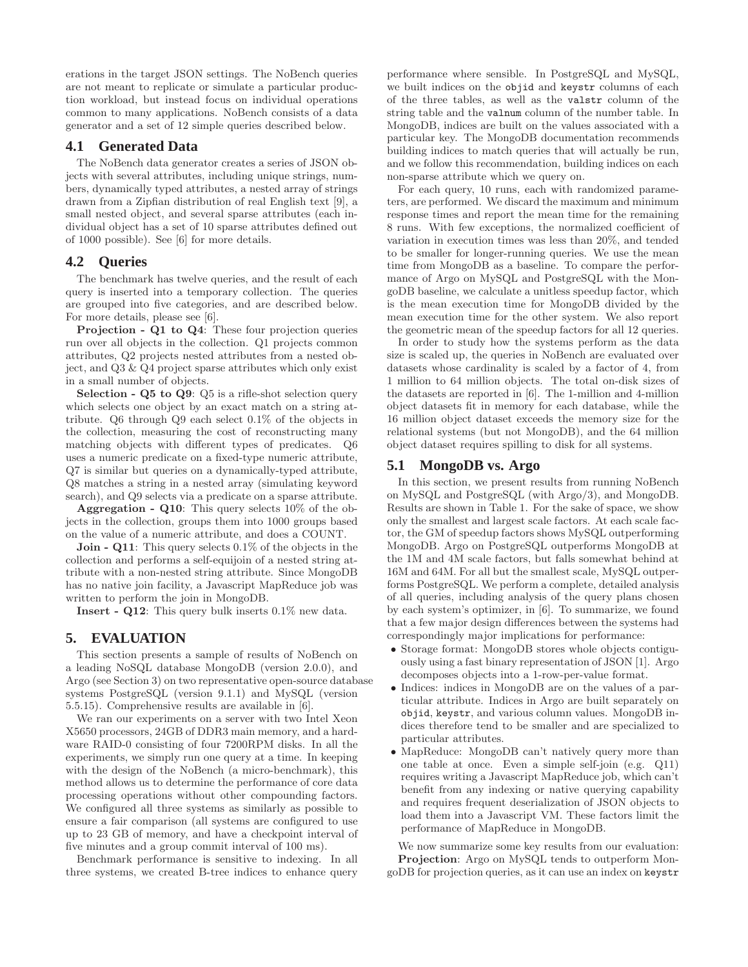erations in the target JSON settings. The NoBench queries are not meant to replicate or simulate a particular production workload, but instead focus on individual operations common to many applications. NoBench consists of a data generator and a set of 12 simple queries described below.

# **4.1 Generated Data**

The NoBench data generator creates a series of JSON objects with several attributes, including unique strings, numbers, dynamically typed attributes, a nested array of strings drawn from a Zipfian distribution of real English text [9], a small nested object, and several sparse attributes (each individual object has a set of 10 sparse attributes defined out of 1000 possible). See [6] for more details.

## **4.2 Queries**

The benchmark has twelve queries, and the result of each query is inserted into a temporary collection. The queries are grouped into five categories, and are described below. For more details, please see [6].

Projection - Q1 to Q4: These four projection queries run over all objects in the collection. Q1 projects common attributes, Q2 projects nested attributes from a nested object, and Q3 & Q4 project sparse attributes which only exist in a small number of objects.

Selection - Q5 to Q9: Q5 is a rifle-shot selection query which selects one object by an exact match on a string attribute. Q6 through Q9 each select 0.1% of the objects in the collection, measuring the cost of reconstructing many matching objects with different types of predicates. Q6 uses a numeric predicate on a fixed-type numeric attribute, Q7 is similar but queries on a dynamically-typed attribute, Q8 matches a string in a nested array (simulating keyword search), and Q9 selects via a predicate on a sparse attribute.

**Aggregation - Q10:** This query selects  $10\%$  of the objects in the collection, groups them into 1000 groups based on the value of a numeric attribute, and does a COUNT.

**Join - Q11:** This query selects 0.1% of the objects in the collection and performs a self-equijoin of a nested string attribute with a non-nested string attribute. Since MongoDB has no native join facility, a Javascript MapReduce job was written to perform the join in MongoDB.

Insert - Q12: This query bulk inserts 0.1% new data.

## **5. EVALUATION**

This section presents a sample of results of NoBench on a leading NoSQL database MongoDB (version 2.0.0), and Argo (see Section 3) on two representative open-source database systems PostgreSQL (version 9.1.1) and MySQL (version 5.5.15). Comprehensive results are available in [6].

We ran our experiments on a server with two Intel Xeon X5650 processors, 24GB of DDR3 main memory, and a hardware RAID-0 consisting of four 7200RPM disks. In all the experiments, we simply run one query at a time. In keeping with the design of the NoBench (a micro-benchmark), this method allows us to determine the performance of core data processing operations without other compounding factors. We configured all three systems as similarly as possible to ensure a fair comparison (all systems are configured to use up to 23 GB of memory, and have a checkpoint interval of five minutes and a group commit interval of 100 ms).

Benchmark performance is sensitive to indexing. In all three systems, we created B-tree indices to enhance query

performance where sensible. In PostgreSQL and MySQL, we built indices on the objid and keystr columns of each of the three tables, as well as the valstr column of the string table and the valnum column of the number table. In MongoDB, indices are built on the values associated with a particular key. The MongoDB documentation recommends building indices to match queries that will actually be run, and we follow this recommendation, building indices on each non-sparse attribute which we query on.

For each query, 10 runs, each with randomized parameters, are performed. We discard the maximum and minimum response times and report the mean time for the remaining 8 runs. With few exceptions, the normalized coefficient of variation in execution times was less than 20%, and tended to be smaller for longer-running queries. We use the mean time from MongoDB as a baseline. To compare the performance of Argo on MySQL and PostgreSQL with the MongoDB baseline, we calculate a unitless speedup factor, which is the mean execution time for MongoDB divided by the mean execution time for the other system. We also report the geometric mean of the speedup factors for all 12 queries.

In order to study how the systems perform as the data size is scaled up, the queries in NoBench are evaluated over datasets whose cardinality is scaled by a factor of 4, from 1 million to 64 million objects. The total on-disk sizes of the datasets are reported in [6]. The 1-million and 4-million object datasets fit in memory for each database, while the 16 million object dataset exceeds the memory size for the relational systems (but not MongoDB), and the 64 million object dataset requires spilling to disk for all systems.

## **5.1 MongoDB vs. Argo**

In this section, we present results from running NoBench on MySQL and PostgreSQL (with Argo/3), and MongoDB. Results are shown in Table 1. For the sake of space, we show only the smallest and largest scale factors. At each scale factor, the GM of speedup factors shows MySQL outperforming MongoDB. Argo on PostgreSQL outperforms MongoDB at the 1M and 4M scale factors, but falls somewhat behind at 16M and 64M. For all but the smallest scale, MySQL outperforms PostgreSQL. We perform a complete, detailed analysis of all queries, including analysis of the query plans chosen by each system's optimizer, in [6]. To summarize, we found that a few major design differences between the systems had correspondingly major implications for performance:

- Storage format: MongoDB stores whole objects contiguously using a fast binary representation of JSON [1]. Argo decomposes objects into a 1-row-per-value format.
- Indices: indices in MongoDB are on the values of a particular attribute. Indices in Argo are built separately on objid, keystr, and various column values. MongoDB indices therefore tend to be smaller and are specialized to particular attributes.
- MapReduce: MongoDB can't natively query more than one table at once. Even a simple self-join (e.g. Q11) requires writing a Javascript MapReduce job, which can't benefit from any indexing or native querying capability and requires frequent deserialization of JSON objects to load them into a Javascript VM. These factors limit the performance of MapReduce in MongoDB.

We now summarize some key results from our evaluation: Projection: Argo on MySQL tends to outperform MongoDB for projection queries, as it can use an index on keystr